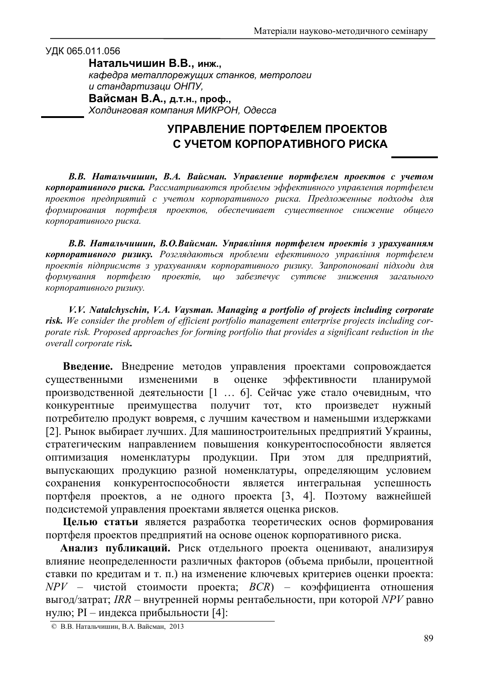## УДК 065.011.056

 $H$ атальчишин В.В., инж.,

*kaфедра металлорежущих станков, метрологи u* стандартизаци ОНПУ,

Вайсман В.А., д.т.н., проф.,  $X$ олдинговая компания МИКРОН, Одесса

## **УПРАВЛЕНИЕ ПОРТФЕЛЕМ ПРОЕКТОВ УЧЕТОМ КОРПОРАТИВНОГО РИСКА**

В.В. Натальчишин, В.А. Вайсман. Управление портфелем проектов с учетом **корпоративного риска.** Рассматриваются проблемы эффективного управления портфелем проектов предприятий с учетом корпоративного риска. Предложенные подходы для  $\phi$ ормирования портфеля проектов, обеспечивает существенное снижение общего корпоративного риска.

В.В. Натальчишин, В.О.Вайсман. Управління портфелем проектів з урахуванням **корпоративного ризику.** Розглядаються проблеми ефективного управління портфелем проектів підприємств з урахуванням корпоративного ризику. Запропоновані підходи для *формування портфелю* проектів, що забезпечує суттєве зниження загального  $k$ орпоративного ризику.

*V.V. Natalchyschin, V.A. Vaysman. Managing a portfolio of projects including corporate risk. We consider the problem of efficient portfolio management enterprise projects including corporate risk. Proposed approaches for forming portfolio that provides a significant reduction in the overall corporate risk.*

Введение. Внедрение методов управления проектами сопровождается существенными измененими в оценке эффективности планирумой производственной деятельности [1 ... 6]. Сейчас уже стало очевидным, что конкурентные преимущества получит тот, кто произведет нужный потребителю продукт вовремя, с лучшим качеством и наменьшми издержками [2]. Рынок выбирает лучших. Для машиностроительных предприятий Украины, стратегическим направлением повышения конкурентоспособности является оптимизация номенклатуры продукции. При этом для предприятий. выпускающих продукцию разной номенклатуры, определяющим условием сохранения конкурентоспособности является интегральная **успешность** портфеля проектов, а не одного проекта [3, 4]. Поэтому важнейшей подсистемой управления проектами является оценка рисков.

Целью статьи является разработка теоретических основ формирования портфеля проектов предприятий на основе оценок корпоративного риска.

Анализ публикаций. Риск отдельного проекта оценивают, анализируя влияние неопределенности различных факторов (объема прибыли, процентной ставки по кредитам и т. п.) на изменение ключевых критериев оценки проекта:  $NPV$  – чистой стоимости проекта;  $BCR$ ) – коэффициента отношения выгод/затрат; IRR – внутренней нормы рентабельности, при которой NPV равно нулю; PI – индекса прибыльности [4]:

<sup>©</sup> В.В. Натальчишин, В.А. Вайсман, 2013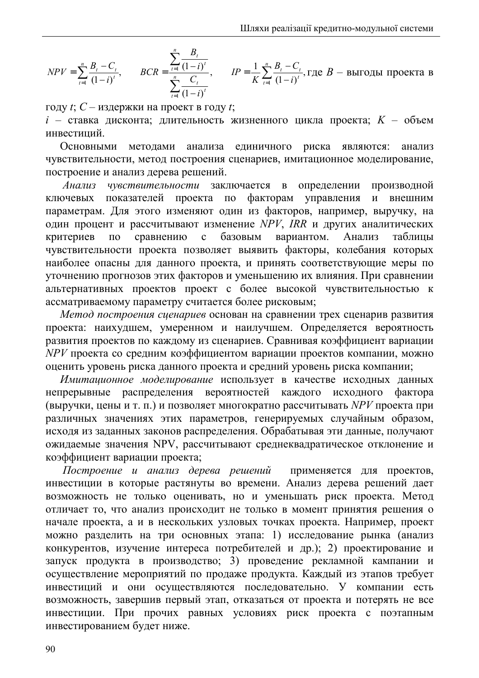$$
NPV = \sum_{t=1}^{n} \frac{B_t - C_t}{(1 - i)^t}, \qquad BCR = \frac{\sum_{t=1}^{n} \frac{B_t}{(1 - i)^t}}{\sum_{t=1}^{n} \frac{C_t}{(1 - i)^t}}, \qquad IP = \frac{1}{K} \sum_{t=1}^{n} \frac{B_t - C_t}{(1 - i)^t}, \text{ r, i.e. } B \text{ is the same as } B \text{ is the same as } B \text{ is the same as } B \text{ is the same as } B \text{ is the same as } B \text{ is the same as } B \text{ is the same as } B \text{ is the same as } B \text{ is the same as } B \text{ is the same as } B \text{ is the same as } B \text{ is the same as } B \text{ is the same as } B \text{ is the same as } B \text{ is the same as } B \text{ is the same as } B \text{ is the same as } B \text{ is the same as } B \text{ is the same as } B \text{ is the same as } B \text{ is the same as } B \text{ is the same as } B \text{ is the same as } B \text{ is the same as } B \text{ is the same as } B \text{ is the same as } B \text{ is the same as } B \text{ is the same as } B \text{ is the same as } B \text{ is the same as } B \text{ is the same as } B \text{ is the same as } B \text{ is the same as } B \text{ is the same as } B \text{ is the same as } B \text{ is the same as } B \text{ is the same as } B \text{ is the same as } B \text{ is the same as } B \text{ is the same as } B \text{ is the same as } B \text{ is the same as } B \text{ is the same as } B \text{ is the same as } B \text{ is the same as } B \text{ is the same as } B \text{ is the same as } B \text{ is the same as } B \text{ is the same as } B \text{ is the same as } B \text{ is the same as } B \text{ is the same as } B \text{ is the same as } B \text{ is the same as } B \text{ is the same as } B \text{ is the same as } B \text{ is the same as } B \text{ is the same as } B \text{ is the same as } B \text{ is the same as } B \text{ is the same as } B \text{ is the same as } B \text{ is the same as } B \text{ is the same as } B \text{ is the same as } B \text{ is the same as } B \text{ is the same as } B \text{ is the same as } B \text{ is the same as } B \text{ is the same as
$$

году  $t$ ;  $C$  – издержки на проект в году  $t$ ;

 $i$  – ставка дисконта; длительность жизненного цикла проекта;  $K$  – объем инвестиний

анализа риска являются: Основными метолами единичного анализ чувствительности, метод построения сценариев, имитационное моделирование, построение и анализ дерева решений.

Анализ чувствительности заключается в определении производной показателей проекта по факторам управления  $\overline{\mathbf{M}}$ внешним ключевых параметрам. Для этого изменяют один из факторов, например, выручку, на один процент и рассчитывают изменение NPV, IRR и других аналитических критериев сравнению  $\mathbf{c}$ вариантом. Анализ  $\overline{10}$ базовым таблицы чувствительности проекта позволяет выявить факторы, колебания которых наиболее опасны для данного проекта, и принять соответствующие меры по уточнению прогнозов этих факторов и уменьшению их влияния. При сравнении альтернативных проектов проект с более высокой чувствительностью к ассматриваемому параметру считается более рисковым;

Метод построения сценариев основан на сравнении трех сценарив развития проекта: наихудшем, умеренном и наилучшем. Определяется вероятность развития проектов по каждому из сценариев. Сравнивая коэффициент вариации NPV проекта со средним коэффициентом вариации проектов компании, можно оценить уровень риска данного проекта и средний уровень риска компании;

Имитационное моделирование использует в качестве исходных данных непрерывные распределения вероятностей каждого исходного **фактора** (выручки, цены и т. п.) и позволяет многократно рассчитывать NPV проекта при различных значениях этих параметров, генерируемых случайным образом, исходя из заданных законов распределения. Обрабатывая эти данные, получают ожидаемые значения NPV, рассчитывают среднеквадратическое отклонение и коэффициент вариации проекта;

Построение и анализ дерева решений применяется для проектов, инвестиции в которые растянуты во времени. Анализ дерева решений дает возможность не только оценивать, но и уменьшать риск проекта. Метод отличает то, что анализ происходит не только в момент принятия решения о начале проекта, а и в нескольких узловых точках проекта. Например, проект можно разделить на три основных этапа: 1) исследование рынка (анализ конкурентов, изучение интереса потребителей и др.); 2) проектирование и запуск продукта в производство; 3) проведение рекламной кампании и осуществление мероприятий по продаже продукта. Каждый из этапов требует инвестиций и они осуществляются последовательно. У компании есть возможность, завершив первый этап, отказаться от проекта и потерять не все инвестиции. При прочих равных условиях риск проекта с поэтапным инвестированием будет ниже.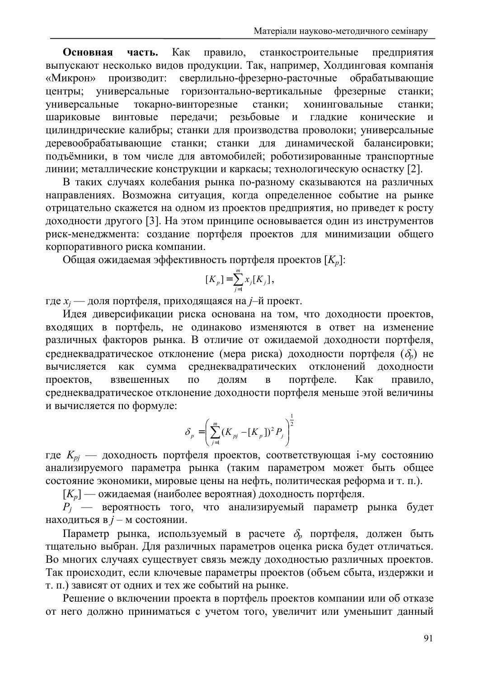Основная Как станкостроительные часть. правило. предприятия выпускают несколько видов продукции. Так, например, Холдинговая компанія сверлильно-фрезерно-расточные обрабатывающие «Микрон» производит: центры; универсальные горизонтально-вертикальные фрезерные станки: универсальные токарно-винторезные станки: хонинговальные станки: винтовые передачи; резьбовые  $\mathbf{M}$ шариковые гладкие конические  $\mathbf{M}$ цилиндрические калибры; станки для производства проволоки; универсальные деревообрабатывающие станки; станки для динамической балансировки; подъёмники, в том числе для автомобилей; роботизированные транспортные линии; металлические конструкции и каркасы; технологическую оснастку [2].

В таких случаях колебания рынка по-разному сказываются на различных направлениях. Возможна ситуация, когда определенное событие на рынке отрицательно скажется на одном из проектов предприятия, но приведет к росту доходности другого [3]. На этом принципе основывается один из инструментов риск-менеджмента: создание портфеля проектов для минимизации общего корпоративного риска компании.

Общая ожидаемая эффективность портфеля проектов  $[K_n]$ :

$$
[K_p] = \sum_{j=1}^m x_j [K_j],
$$

где  $x_i$  — доля портфеля, приходящаяся на *j*-й проект.

Идея диверсификации риска основана на том, что доходности проектов, входящих в портфель, не одинаково изменяются в ответ на изменение различных факторов рынка. В отличие от ожидаемой доходности портфеля, среднеквадратическое отклонение (мера риска) доходности портфеля  $(\delta_n)$  не вычисляется сумма среднеквадратических отклонений доходности как портфеле. Как проектов, взвешенных  $\Pi$ <sup>O</sup> долям  $\overline{B}$ правило, среднеквадратическое отклонение доходности портфеля меньше этой величины и вычисляется по формуле:

$$
\delta_p = \left(\sum_{j=1}^m (K_{pj} - [K_p])^2 P_j\right)^{\frac{1}{2}}
$$

где  $K_{pj}$  — доходность портфеля проектов, соответствующая i-му состоянию анализируемого параметра рынка (таким параметром может быть общее состояние экономики, мировые цены на нефть, политическая реформа и т. п.).

 $[K_n]$  — ожидаемая (наиболее вероятная) доходность портфеля.

 $P_i$  — вероятность того, что анализируемый параметр рынка будет находиться в *j* - м состоянии.

Параметр рынка, используемый в расчете  $\delta_n$  портфеля, должен быть тщательно выбран. Для различных параметров оценка риска будет отличаться. Во многих случаях существует связь между доходностью различных проектов. Так происходит, если ключевые параметры проектов (объем сбыта, издержки и т. п.) зависят от одних и тех же событий на рынке.

Решение о включении проекта в портфель проектов компании или об отказе от него должно приниматься с учетом того, увеличит или уменьшит данный